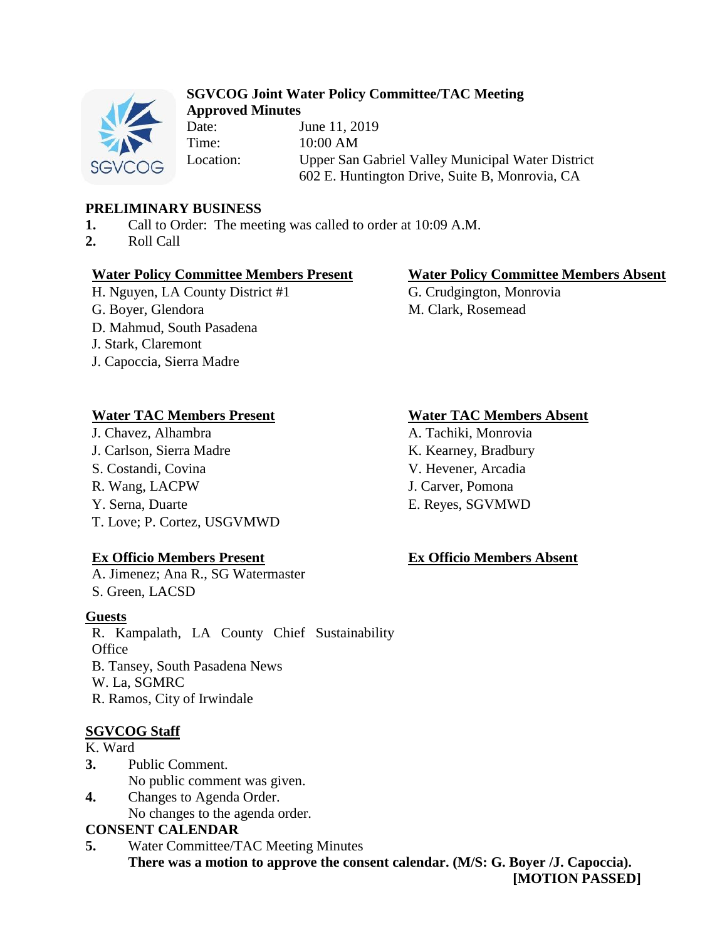

# **SGVCOG Joint Water Policy Committee/TAC Meeting Approved Minutes**

Date: **June 11, 2019** Time: 10:00 AM Location: Upper San Gabriel Valley Municipal Water District 602 E. Huntington Drive, Suite B, Monrovia, CA

# **PRELIMINARY BUSINESS**

- **1.** Call to Order: The meeting was called to order at 10:09 A.M.
- **2.** Roll Call

# **Water Policy Committee Members Present Water Policy Committee Members Absent**

- H. Nguyen, LA County District #1 G. Crudgington, Monrovia
- 
- D. Mahmud, South Pasadena
- J. Stark, Claremont
- J. Capoccia, Sierra Madre

# **Water TAC Members Present Water TAC Members Absent**

J. Chavez, Alhambra A. Tachiki, Monrovia J. Carlson, Sierra Madre K. Kearney, Bradbury S. Costandi, Covina V. Hevener, Arcadia R. Wang, LACPW J. Carver, Pomona Y. Serna, Duarte E. Reyes, SGVMWD T. Love; P. Cortez, USGVMWD

# **Ex Officio Members Present Ex Officio Members Absent**

A. Jimenez; Ana R., SG Watermaster S. Green, LACSD

# **Guests**

R. Kampalath, LA County Chief Sustainability **Office** B. Tansey, South Pasadena News W. La, SGMRC R. Ramos, City of Irwindale

# **SGVCOG Staff**

### K. Ward

- **3.** Public Comment. No public comment was given.
- **4.** Changes to Agenda Order. No changes to the agenda order.

# **CONSENT CALENDAR**

**5.** Water Committee/TAC Meeting Minutes **There was a motion to approve the consent calendar. (M/S: G. Boyer /J. Capoccia).**

G. Boyer, Glendora M. Clark, Rosemead

**<sup>[</sup>MOTION PASSED]**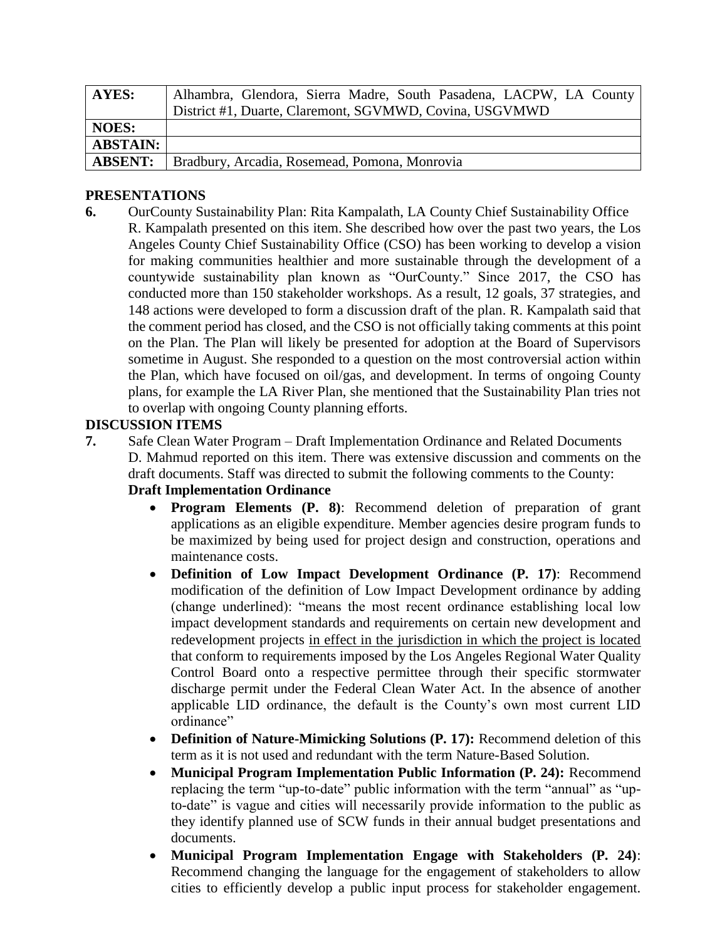| <b>AYES:</b>    | Alhambra, Glendora, Sierra Madre, South Pasadena, LACPW, LA County |
|-----------------|--------------------------------------------------------------------|
|                 | District #1, Duarte, Claremont, SGVMWD, Covina, USGVMWD            |
| <b>NOES:</b>    |                                                                    |
| <b>ABSTAIN:</b> |                                                                    |
| <b>ABSENT:</b>  | Bradbury, Arcadia, Rosemead, Pomona, Monrovia                      |

### **PRESENTATIONS**

**6.** OurCounty Sustainability Plan: Rita Kampalath, LA County Chief Sustainability Office R. Kampalath presented on this item. She described how over the past two years, the Los Angeles County Chief Sustainability Office (CSO) has been working to develop a vision for making communities healthier and more sustainable through the development of a countywide sustainability plan known as "OurCounty." Since 2017, the CSO has conducted more than 150 stakeholder workshops. As a result, 12 goals, 37 strategies, and 148 actions were developed to form a discussion draft of the plan. R. Kampalath said that the comment period has closed, and the CSO is not officially taking comments at this point on the Plan. The Plan will likely be presented for adoption at the Board of Supervisors sometime in August. She responded to a question on the most controversial action within the Plan, which have focused on oil/gas, and development. In terms of ongoing County plans, for example the LA River Plan, she mentioned that the Sustainability Plan tries not to overlap with ongoing County planning efforts.

### **DISCUSSION ITEMS**

**7.** Safe Clean Water Program – Draft Implementation Ordinance and Related Documents D. Mahmud reported on this item. There was extensive discussion and comments on the draft documents. Staff was directed to submit the following comments to the County:

# **Draft Implementation Ordinance**

- **Program Elements (P. 8)**: Recommend deletion of preparation of grant applications as an eligible expenditure. Member agencies desire program funds to be maximized by being used for project design and construction, operations and maintenance costs.
- **Definition of Low Impact Development Ordinance (P. 17)**: Recommend modification of the definition of Low Impact Development ordinance by adding (change underlined): "means the most recent ordinance establishing local low impact development standards and requirements on certain new development and redevelopment projects in effect in the jurisdiction in which the project is located that conform to requirements imposed by the Los Angeles Regional Water Quality Control Board onto a respective permittee through their specific stormwater discharge permit under the Federal Clean Water Act. In the absence of another applicable LID ordinance, the default is the County's own most current LID ordinance"
- **Definition of Nature-Mimicking Solutions (P. 17):** Recommend deletion of this term as it is not used and redundant with the term Nature-Based Solution.
- **Municipal Program Implementation Public Information (P. 24):** Recommend replacing the term "up-to-date" public information with the term "annual" as "upto-date" is vague and cities will necessarily provide information to the public as they identify planned use of SCW funds in their annual budget presentations and documents.
- **Municipal Program Implementation Engage with Stakeholders (P. 24)**: Recommend changing the language for the engagement of stakeholders to allow cities to efficiently develop a public input process for stakeholder engagement.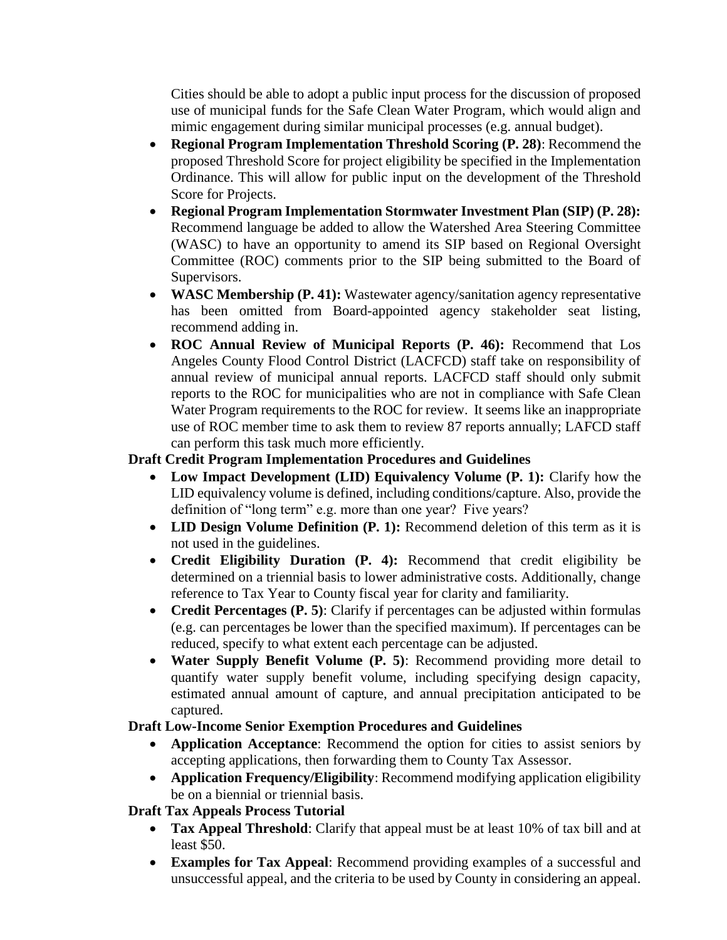Cities should be able to adopt a public input process for the discussion of proposed use of municipal funds for the Safe Clean Water Program, which would align and mimic engagement during similar municipal processes (e.g. annual budget).

- **Regional Program Implementation Threshold Scoring (P. 28)**: Recommend the proposed Threshold Score for project eligibility be specified in the Implementation Ordinance. This will allow for public input on the development of the Threshold Score for Projects.
- **Regional Program Implementation Stormwater Investment Plan (SIP) (P. 28):**  Recommend language be added to allow the Watershed Area Steering Committee (WASC) to have an opportunity to amend its SIP based on Regional Oversight Committee (ROC) comments prior to the SIP being submitted to the Board of Supervisors.
- **WASC Membership (P. 41):** Wastewater agency/sanitation agency representative has been omitted from Board-appointed agency stakeholder seat listing, recommend adding in.
- **ROC Annual Review of Municipal Reports (P. 46):** Recommend that Los Angeles County Flood Control District (LACFCD) staff take on responsibility of annual review of municipal annual reports. LACFCD staff should only submit reports to the ROC for municipalities who are not in compliance with Safe Clean Water Program requirements to the ROC for review. It seems like an inappropriate use of ROC member time to ask them to review 87 reports annually; LAFCD staff can perform this task much more efficiently.

# **Draft Credit Program Implementation Procedures and Guidelines**

- **Low Impact Development (LID) Equivalency Volume (P. 1):** Clarify how the LID equivalency volume is defined, including conditions/capture. Also, provide the definition of "long term" e.g. more than one year? Five years?
- **LID Design Volume Definition (P. 1):** Recommend deletion of this term as it is not used in the guidelines.
- **Credit Eligibility Duration (P. 4):** Recommend that credit eligibility be determined on a triennial basis to lower administrative costs. Additionally, change reference to Tax Year to County fiscal year for clarity and familiarity.
- **Credit Percentages (P. 5)**: Clarify if percentages can be adjusted within formulas (e.g. can percentages be lower than the specified maximum). If percentages can be reduced, specify to what extent each percentage can be adjusted.
- **Water Supply Benefit Volume (P. 5)**: Recommend providing more detail to quantify water supply benefit volume, including specifying design capacity, estimated annual amount of capture, and annual precipitation anticipated to be captured.

# **Draft Low-Income Senior Exemption Procedures and Guidelines**

- **Application Acceptance**: Recommend the option for cities to assist seniors by accepting applications, then forwarding them to County Tax Assessor.
- **Application Frequency/Eligibility**: Recommend modifying application eligibility be on a biennial or triennial basis.

# **Draft Tax Appeals Process Tutorial**

- **Tax Appeal Threshold**: Clarify that appeal must be at least 10% of tax bill and at least \$50.
- **Examples for Tax Appeal**: Recommend providing examples of a successful and unsuccessful appeal, and the criteria to be used by County in considering an appeal.